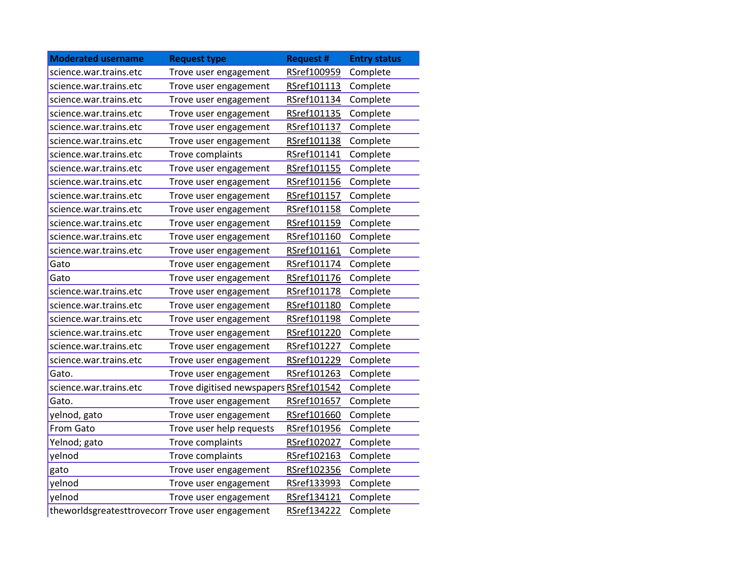| <b>Moderated username</b>                        | <b>Request type</b>                    | <b>Request #</b> | <b>Entry status</b> |
|--------------------------------------------------|----------------------------------------|------------------|---------------------|
| science.war.trains.etc                           | Trove user engagement                  | RSref100959      | Complete            |
| science.war.trains.etc                           | Trove user engagement                  | RSref101113      | Complete            |
| science.war.trains.etc                           | Trove user engagement                  | RSref101134      | Complete            |
| science.war.trains.etc                           | Trove user engagement                  | RSref101135      | Complete            |
| science.war.trains.etc                           | Trove user engagement                  | RSref101137      | Complete            |
| science.war.trains.etc                           | Trove user engagement                  | RSref101138      | Complete            |
| science.war.trains.etc                           | Trove complaints                       | RSref101141      | Complete            |
| science.war.trains.etc                           | Trove user engagement                  | RSref101155      | Complete            |
| science.war.trains.etc                           | Trove user engagement                  | RSref101156      | Complete            |
| science.war.trains.etc                           | Trove user engagement                  | RSref101157      | Complete            |
| science.war.trains.etc                           | Trove user engagement                  | RSref101158      | Complete            |
| science.war.trains.etc                           | Trove user engagement                  | RSref101159      | Complete            |
| science.war.trains.etc                           | Trove user engagement                  | RSref101160      | Complete            |
| science.war.trains.etc                           | Trove user engagement                  | RSref101161      | Complete            |
| Gato                                             | Trove user engagement                  | RSref101174      | Complete            |
| Gato                                             | Trove user engagement                  | RSref101176      | Complete            |
| science.war.trains.etc                           | Trove user engagement                  | RSref101178      | Complete            |
| science.war.trains.etc                           | Trove user engagement                  | RSref101180      | Complete            |
| science.war.trains.etc                           | Trove user engagement                  | RSref101198      | Complete            |
| science.war.trains.etc                           | Trove user engagement                  | RSref101220      | Complete            |
| science.war.trains.etc                           | Trove user engagement                  | RSref101227      | Complete            |
| science.war.trains.etc                           | Trove user engagement                  | RSref101229      | Complete            |
| Gato.                                            | Trove user engagement                  | RSref101263      | Complete            |
| science.war.trains.etc                           | Trove digitised newspapers RSref101542 |                  | Complete            |
| Gato.                                            | Trove user engagement                  | RSref101657      | Complete            |
| yelnod, gato                                     | Trove user engagement                  | RSref101660      | Complete            |
| <b>From Gato</b>                                 | Trove user help requests               | RSref101956      | Complete            |
| Yelnod; gato                                     | Trove complaints                       | RSref102027      | Complete            |
| yelnod                                           | Trove complaints                       | RSref102163      | Complete            |
| gato                                             | Trove user engagement                  | RSref102356      | Complete            |
| yelnod                                           | Trove user engagement                  | RSref133993      | Complete            |
| yelnod                                           | Trove user engagement                  | RSref134121      | Complete            |
| theworldsgreatesttrovecorr Trove user engagement |                                        | RSref134222      | Complete            |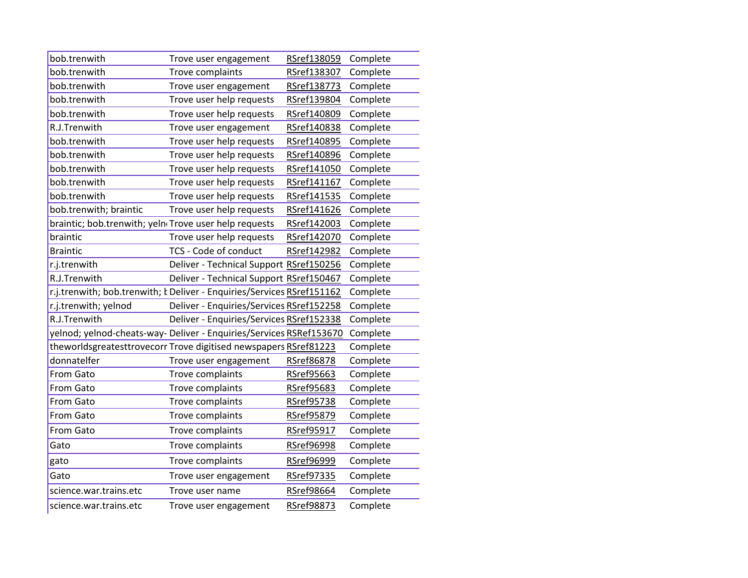| bob.trenwith                                                       | Trove user engagement                                                         | RSref138059 | Complete |
|--------------------------------------------------------------------|-------------------------------------------------------------------------------|-------------|----------|
| bob.trenwith                                                       | Trove complaints                                                              | RSref138307 | Complete |
| bob.trenwith                                                       | Trove user engagement                                                         | RSref138773 | Complete |
| bob.trenwith                                                       | Trove user help requests                                                      | RSref139804 | Complete |
| bob.trenwith                                                       | Trove user help requests                                                      | RSref140809 | Complete |
| R.J.Trenwith                                                       | Trove user engagement                                                         | RSref140838 | Complete |
| bob.trenwith                                                       | Trove user help requests                                                      | RSref140895 | Complete |
| bob.trenwith                                                       | Trove user help requests                                                      | RSref140896 | Complete |
| bob.trenwith                                                       | Trove user help requests                                                      | RSref141050 | Complete |
| bob.trenwith                                                       | Trove user help requests                                                      | RSref141167 | Complete |
| bob.trenwith                                                       | Trove user help requests                                                      | RSref141535 | Complete |
| bob.trenwith; braintic                                             | Trove user help requests                                                      | RSref141626 | Complete |
| braintic; bob.trenwith; yeln <sub>'</sub> Trove user help requests |                                                                               | RSref142003 | Complete |
| braintic                                                           | Trove user help requests                                                      | RSref142070 | Complete |
| <b>Braintic</b>                                                    | TCS - Code of conduct                                                         | RSref142982 | Complete |
| r.j.trenwith                                                       | Deliver - Technical Support RSref150256                                       |             | Complete |
| R.J.Trenwith                                                       | Deliver - Technical Support RSref150467                                       |             | Complete |
|                                                                    | r.j.trenwith; bob.trenwith; <i>k</i> Deliver - Enquiries/Services RSref151162 |             | Complete |
| r.j.trenwith; yelnod                                               | Deliver - Enquiries/Services RSref152258                                      |             | Complete |
| R.J.Trenwith                                                       | Deliver - Enquiries/Services RSref152338                                      |             | Complete |
|                                                                    | yelnod; yelnod-cheats-way- Deliver - Enquiries/Services RSRef153670           |             | Complete |
|                                                                    | theworldsgreatesttrovecorr Trove digitised newspapers RSref81223              |             | Complete |
| donnatelfer                                                        | Trove user engagement                                                         | RSref86878  | Complete |
| From Gato                                                          | Trove complaints                                                              | RSref95663  | Complete |
| From Gato                                                          | Trove complaints                                                              | RSref95683  | Complete |
| From Gato                                                          | Trove complaints                                                              | RSref95738  | Complete |
| From Gato                                                          | Trove complaints                                                              | RSref95879  | Complete |
| From Gato                                                          | Trove complaints                                                              | RSref95917  | Complete |
| Gato                                                               | Trove complaints                                                              | RSref96998  | Complete |
| gato                                                               | Trove complaints                                                              | RSref96999  | Complete |
| Gato                                                               | Trove user engagement                                                         | RSref97335  | Complete |
| science.war.trains.etc                                             | Trove user name                                                               | RSref98664  | Complete |
| science.war.trains.etc                                             | Trove user engagement                                                         | RSref98873  | Complete |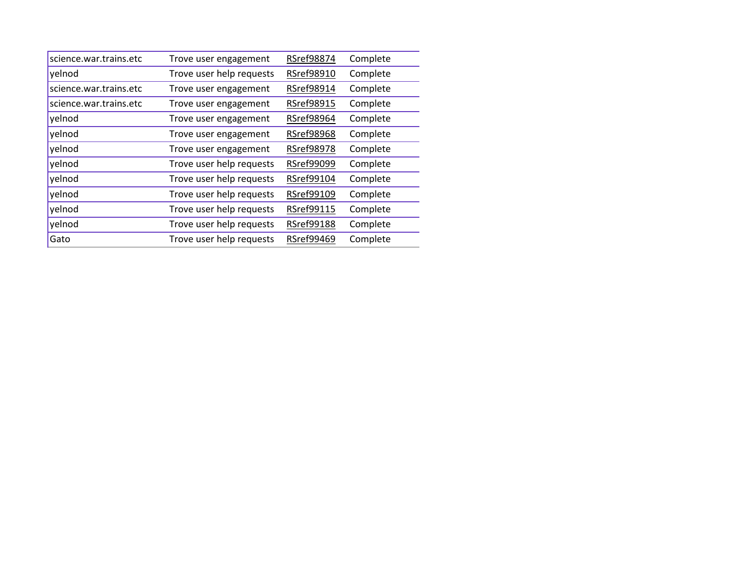| science.war.trains.etc | Trove user engagement    | RSref98874        | Complete |
|------------------------|--------------------------|-------------------|----------|
| yelnod                 | Trove user help requests | RSref98910        | Complete |
| science.war.trains.etc | Trove user engagement    | RSref98914        | Complete |
| science.war.trains.etc | Trove user engagement    | RSref98915        | Complete |
| yelnod                 | Trove user engagement    | RSref98964        | Complete |
| yelnod                 | Trove user engagement    | <b>RSref98968</b> | Complete |
| yelnod                 | Trove user engagement    | <b>RSref98978</b> | Complete |
| yelnod                 | Trove user help requests | <b>RSref99099</b> | Complete |
| yelnod                 | Trove user help requests | RSref99104        | Complete |
| yelnod                 | Trove user help requests | RSref99109        | Complete |
| yelnod                 | Trove user help requests | RSref99115        | Complete |
| yelnod                 | Trove user help requests | <b>RSref99188</b> | Complete |
| Gato                   | Trove user help requests | <b>RSref99469</b> | Complete |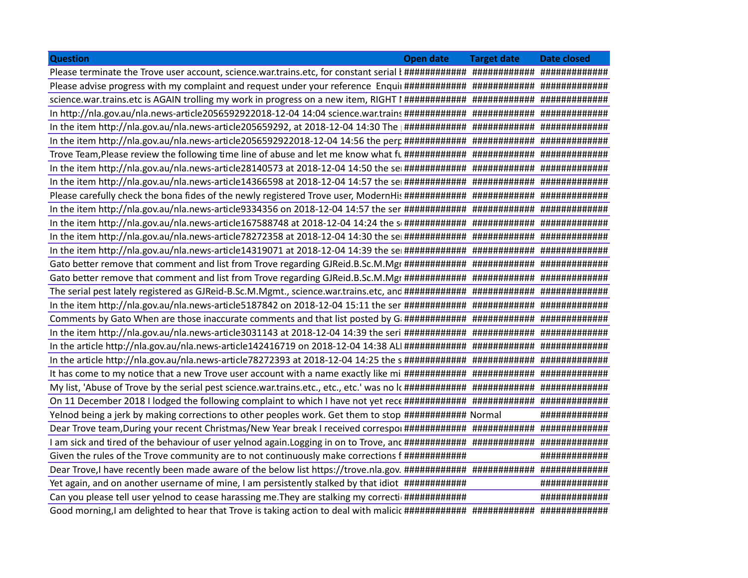|                                                                                                                                               | Open date Target date Date closed |               |
|-----------------------------------------------------------------------------------------------------------------------------------------------|-----------------------------------|---------------|
|                                                                                                                                               |                                   |               |
| Please advise progress with my complaint and request under your reference Enquil #############################                                |                                   |               |
|                                                                                                                                               |                                   |               |
| In http://nla.gov.au/nla.news-article2056592922018-12-04 14:04 science.war.trains ############ ################                               |                                   |               |
|                                                                                                                                               |                                   |               |
|                                                                                                                                               |                                   |               |
|                                                                                                                                               |                                   |               |
|                                                                                                                                               |                                   |               |
|                                                                                                                                               |                                   |               |
|                                                                                                                                               |                                   |               |
|                                                                                                                                               |                                   |               |
| In the item http://nla.gov.au/nla.news-article167588748 at 2018-12-04 14:24 the sonthally than that the than that the than that the sonthally |                                   |               |
| In the item http://nla.gov.au/nla.news-article78272358 at 2018-12-04 14:30 the ser############ #################                              |                                   |               |
|                                                                                                                                               |                                   |               |
| Gato better remove that comment and list from Trove regarding GJReid.B.Sc.M.Mgr ##############################                                |                                   |               |
|                                                                                                                                               |                                   |               |
|                                                                                                                                               |                                   |               |
|                                                                                                                                               |                                   |               |
| Comments by Gato When are those inaccurate comments and that list posted by G: ############ ##################                                |                                   |               |
|                                                                                                                                               |                                   |               |
| In the article http://nla.gov.au/nla.news-article142416719 on 2018-12-04 14:38 ALI ########### ################                               |                                   |               |
|                                                                                                                                               |                                   |               |
|                                                                                                                                               |                                   |               |
|                                                                                                                                               |                                   |               |
|                                                                                                                                               |                                   |               |
| Yelnod being a jerk by making corrections to other peoples work. Get them to stop ############ Normal                                         |                                   | ############  |
|                                                                                                                                               |                                   |               |
|                                                                                                                                               |                                   |               |
|                                                                                                                                               |                                   | ############# |
| Given the rules of the Trove community are to not continuously make corrections f ############                                                |                                   |               |
|                                                                                                                                               |                                   |               |
| Yet again, and on another username of mine, I am persistently stalked by that idiot #############                                             |                                   | ############# |
| Can you please tell user yelnod to cease harassing me. They are stalking my correcti ############                                             |                                   | ############# |

Good morning,I am delighted to hear that Trove is taking action to deal with malicio ############ ############ #############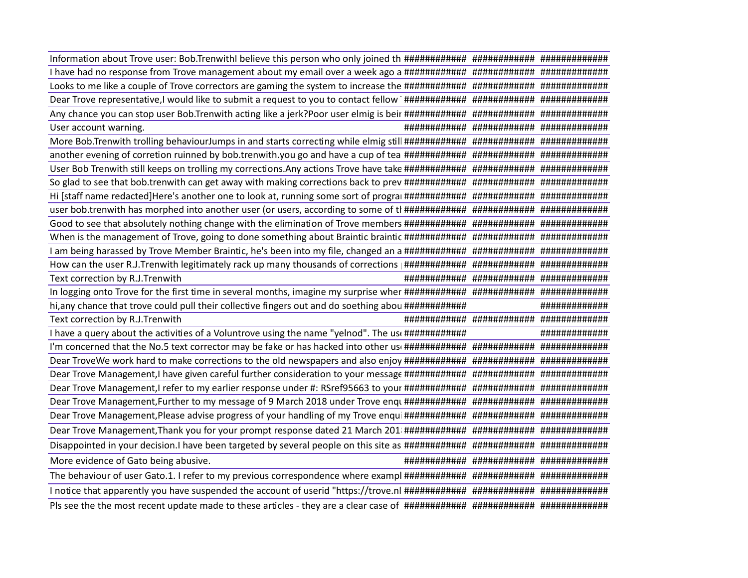| I have had no response from Trove management about my email over a week ago a ################################ |               |
|----------------------------------------------------------------------------------------------------------------|---------------|
|                                                                                                                |               |
|                                                                                                                |               |
|                                                                                                                |               |
| User account warning                                                                                           |               |
|                                                                                                                |               |
|                                                                                                                |               |
|                                                                                                                |               |
|                                                                                                                |               |
|                                                                                                                |               |
|                                                                                                                |               |
|                                                                                                                |               |
|                                                                                                                |               |
|                                                                                                                |               |
|                                                                                                                |               |
| Text correction by R.J.Trenwith                                                                                |               |
|                                                                                                                |               |
| hi, any chance that trove could pull their collective fingers out and do soething abou ############            | ############# |
|                                                                                                                |               |
| Text correction by R.J.Trenwith                                                                                |               |
| I have a query about the activities of a Voluntrove using the name "yelnod". The use ############              | ############# |
|                                                                                                                |               |
|                                                                                                                |               |
|                                                                                                                |               |
|                                                                                                                |               |
| Dear Trove Management, Further to my message of 9 March 2018 under Trove enqu ################################ |               |
|                                                                                                                |               |
| Dear Trove Management, Thank you for your prompt response dated 21 March 201 ################################# |               |
|                                                                                                                |               |
| More evidence of Gato being abusive.                                                                           |               |
|                                                                                                                |               |
|                                                                                                                |               |
|                                                                                                                |               |
|                                                                                                                |               |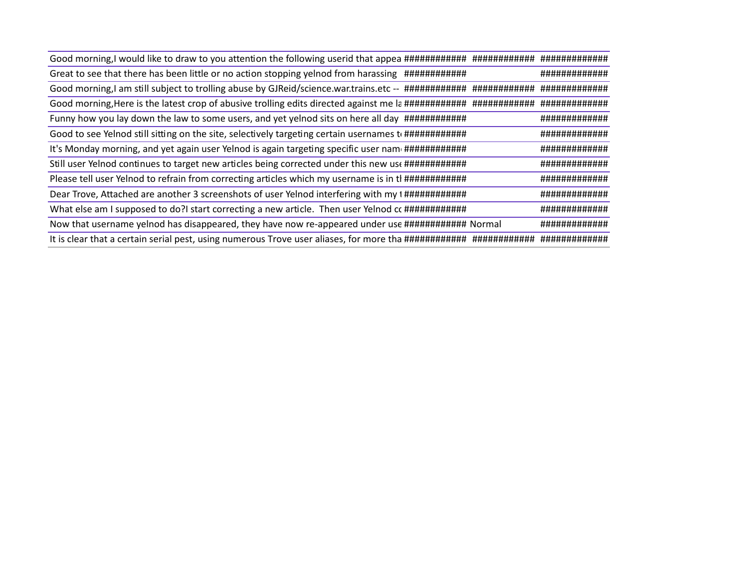| Great to see that there has been little or no action stopping yelnod from harassing #############             | ############# |
|---------------------------------------------------------------------------------------------------------------|---------------|
|                                                                                                               |               |
|                                                                                                               |               |
| Funny how you lay down the law to some users, and yet yelnod sits on here all day #############               | ############# |
| Good to see Yelnod still sitting on the site, selectively targeting certain usernames to #################### | ############# |
| It's Monday morning, and yet again user Yelnod is again targeting specific user nam ############              | ############# |
| Still user Yelnod continues to target new articles being corrected under this new use ##############          | ############# |
| Please tell user Yelnod to refrain from correcting articles which my username is in tl #############          | ############# |
| Dear Trove, Attached are another 3 screenshots of user Yelnod interfering with my t ######################### | ############# |
| What else am I supposed to do?I start correcting a new article. Then user Yelnod cc #############             | ############# |
| Now that username yelnod has disappeared, they have now re-appeared under use ############ Normal             | ############# |
|                                                                                                               |               |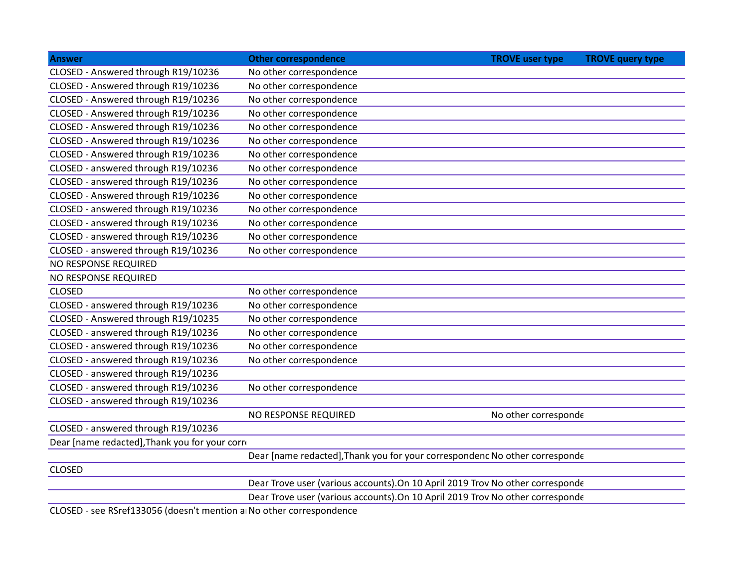| Answer                                         | <b>Other correspondence</b> | TROVE user type TROVE query type                                               |  |
|------------------------------------------------|-----------------------------|--------------------------------------------------------------------------------|--|
| CLOSED - Answered through R19/10236            | No other correspondence     |                                                                                |  |
| CLOSED - Answered through R19/10236            | No other correspondence     |                                                                                |  |
| CLOSED - Answered through R19/10236            | No other correspondence     |                                                                                |  |
| CLOSED - Answered through R19/10236            | No other correspondence     |                                                                                |  |
| CLOSED - Answered through R19/10236            | No other correspondence     |                                                                                |  |
| CLOSED - Answered through R19/10236            | No other correspondence     |                                                                                |  |
| CLOSED - Answered through R19/10236            | No other correspondence     |                                                                                |  |
| CLOSED - answered through R19/10236            | No other correspondence     |                                                                                |  |
| CLOSED - answered through R19/10236            | No other correspondence     |                                                                                |  |
| CLOSED - Answered through R19/10236            | No other correspondence     |                                                                                |  |
| CLOSED - answered through R19/10236            | No other correspondence     |                                                                                |  |
| CLOSED - answered through R19/10236            | No other correspondence     |                                                                                |  |
| CLOSED - answered through R19/10236            | No other correspondence     |                                                                                |  |
| CLOSED - answered through R19/10236            | No other correspondence     |                                                                                |  |
| NO RESPONSE REQUIRED                           |                             |                                                                                |  |
| NO RESPONSE REQUIRED                           |                             |                                                                                |  |
| CLOSED                                         | No other correspondence     |                                                                                |  |
| CLOSED - answered through R19/10236            | No other correspondence     |                                                                                |  |
| CLOSED - Answered through R19/10235            | No other correspondence     |                                                                                |  |
| CLOSED - answered through R19/10236            | No other correspondence     |                                                                                |  |
| CLOSED - answered through R19/10236            | No other correspondence     |                                                                                |  |
| CLOSED - answered through R19/10236            | No other correspondence     |                                                                                |  |
| CLOSED - answered through R19/10236            |                             |                                                                                |  |
| CLOSED - answered through R19/10236            | No other correspondence     |                                                                                |  |
| CLOSED - answered through R19/10236            |                             |                                                                                |  |
|                                                | NO RESPONSE REQUIRED        | No other corresponde                                                           |  |
| CLOSED - answered through R19/10236            |                             |                                                                                |  |
| Dear [name redacted], Thank you for your corre |                             |                                                                                |  |
|                                                |                             | Dear [name redacted], Thank you for your correspondenc No other corresponde    |  |
| CLOSED                                         |                             |                                                                                |  |
|                                                |                             | Dear Trove user (various accounts). On 10 April 2019 Trov No other corresponde |  |
|                                                |                             | Dear Trove user (various accounts). On 10 April 2019 Trov No other corresponde |  |

CLOSED - see RSref133056 (doesn't mention an No other correspondence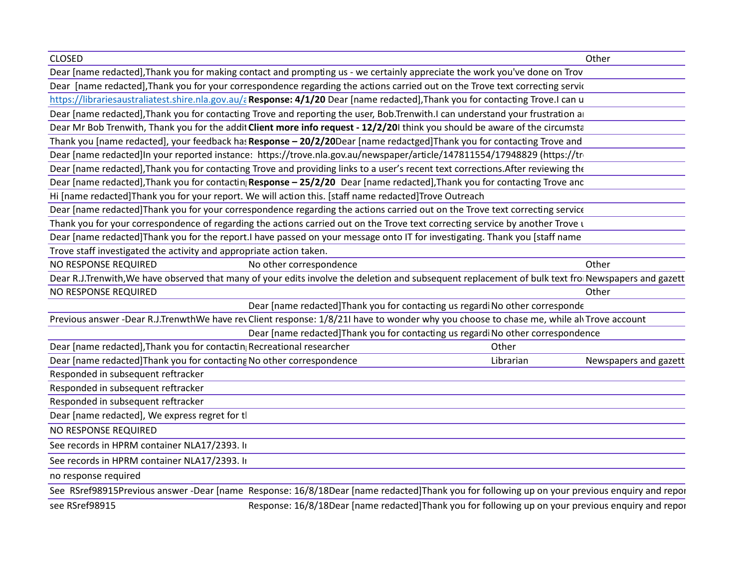|                                                                        | Dear [name redacted], Thank you for making contact and prompting us - we certainly appreciate the work you've done on Trov                          |                                                                                          |                                                                                                    |  |
|------------------------------------------------------------------------|-----------------------------------------------------------------------------------------------------------------------------------------------------|------------------------------------------------------------------------------------------|----------------------------------------------------------------------------------------------------|--|
|                                                                        | Dear [name redacted], Thank you for your correspondence regarding the actions carried out on the Trove text correcting servic                       |                                                                                          |                                                                                                    |  |
|                                                                        |                                                                                                                                                     | <u>au/a</u> Response: 4/1/20 Dear [name redacted],Thank you for contacting Trove.I can u |                                                                                                    |  |
|                                                                        | Dear [name redacted], Thank you for contacting Trove and reporting the user, Bob.Trenwith.I can understand your frustration an                      |                                                                                          |                                                                                                    |  |
|                                                                        | Dear Mr Bob Trenwith, Thank you for the addit Client more info request - 12/2/201 think you should be aware of the circumsta                        |                                                                                          |                                                                                                    |  |
|                                                                        | Thank you [name redacted], your feedback has Response - 20/2/20Dear [name redactged]Thank you for contacting Trove and                              |                                                                                          |                                                                                                    |  |
|                                                                        | Dear [name redacted]In your reported instance: https://trove.nla.gov.au/newspaper/article/147811554/17948829 (https://tro                           |                                                                                          |                                                                                                    |  |
|                                                                        | Dear [name redacted], Thank you for contacting Trove and providing links to a user's recent text corrections. After reviewing the                   |                                                                                          |                                                                                                    |  |
|                                                                        | Dear [name redacted], Thank you for contactin <sub>i</sub> Response - 25/2/20 Dear [name redacted], Thank you for contacting Trove and              |                                                                                          |                                                                                                    |  |
|                                                                        | Hi [name redacted]Thank you for your report. We will action this. [staff name redacted]Trove Outreach                                               |                                                                                          |                                                                                                    |  |
|                                                                        | Dear [name redacted]Thank you for your correspondence regarding the actions carried out on the Trove text correcting service                        |                                                                                          |                                                                                                    |  |
|                                                                        | Thank you for your correspondence of regarding the actions carried out on the Trove text correcting service by another Trove L                      |                                                                                          |                                                                                                    |  |
|                                                                        | Dear [name redacted]Thank you for the report.I have passed on your message onto IT for investigating. Thank you [staff name                         |                                                                                          |                                                                                                    |  |
| Trove staff investigated the activity and appropriate action taken.    |                                                                                                                                                     |                                                                                          |                                                                                                    |  |
| NO RESPONSE REQUIRED                                                   | No other correspondence                                                                                                                             |                                                                                          |                                                                                                    |  |
|                                                                        | Dear R.J.Trenwith, We have observed that many of your edits involve the deletion and subsequent replacement of bulk text from Newspapers and gazett |                                                                                          |                                                                                                    |  |
| NO RESPONSE REQUIRED                                                   |                                                                                                                                                     |                                                                                          |                                                                                                    |  |
|                                                                        |                                                                                                                                                     | Dear [name redacted]Thank you for contacting us regardi No other corresponde             |                                                                                                    |  |
|                                                                        | revious answer -Dear R.J.TrenwthWe have rev Client response: 1/8/21I have to wonder why you choose to chase me, while alvTrove account              |                                                                                          |                                                                                                    |  |
|                                                                        |                                                                                                                                                     | Dear [name redacted]Thank you for contacting us regardi No other correspondence          |                                                                                                    |  |
| Dear [name redacted], Thank you for contactin; Recreational researcher |                                                                                                                                                     |                                                                                          |                                                                                                    |  |
|                                                                        | Dear [name redacted] Thank you for contacting No other correspondence                                                                               |                                                                                          | Librarian<br>Newspapers and gazett                                                                 |  |
| Responded in subsequent reftracker                                     |                                                                                                                                                     |                                                                                          |                                                                                                    |  |
| Responded in subsequent reftracker                                     |                                                                                                                                                     |                                                                                          |                                                                                                    |  |
| Responded in subsequent reftracker                                     |                                                                                                                                                     |                                                                                          |                                                                                                    |  |
| Dear [name redacted], We express regret for tl                         |                                                                                                                                                     |                                                                                          |                                                                                                    |  |
| NO RESPONSE REQUIRED                                                   |                                                                                                                                                     |                                                                                          |                                                                                                    |  |
| See records in HPRM container NLA17/2393. In                           |                                                                                                                                                     |                                                                                          |                                                                                                    |  |
| See records in HPRM container NLA17/2393. In                           |                                                                                                                                                     |                                                                                          |                                                                                                    |  |
| no response required                                                   |                                                                                                                                                     |                                                                                          |                                                                                                    |  |
|                                                                        | See RSref98915Previous answer -Dear [name Response: 16/8/18Dear [name redacted]Thank you for following up on your previous enquiry and repor        |                                                                                          |                                                                                                    |  |
| ee RSref98915                                                          |                                                                                                                                                     |                                                                                          | Response: 16/8/18Dear [name redacted]Thank you for following up on your previous enquiry and repor |  |
|                                                                        |                                                                                                                                                     |                                                                                          |                                                                                                    |  |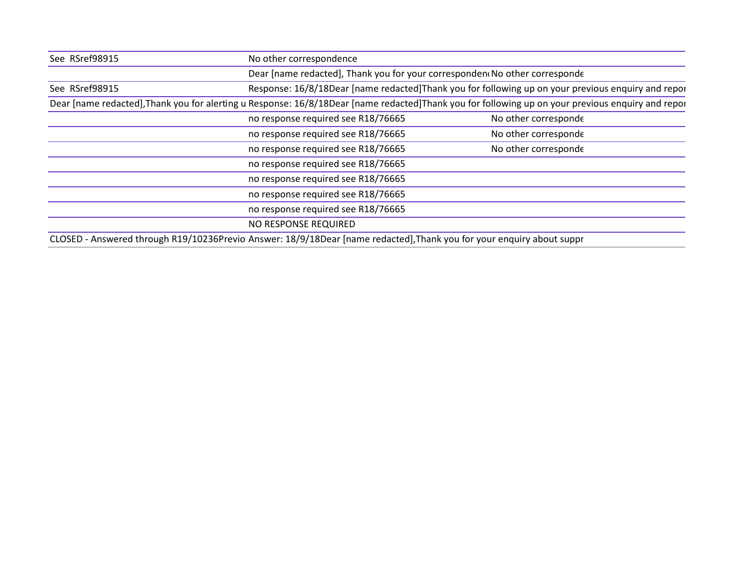| See RSref98915                                                                                                        | No other correspondence                                                    |                                                                                                                                                    |
|-----------------------------------------------------------------------------------------------------------------------|----------------------------------------------------------------------------|----------------------------------------------------------------------------------------------------------------------------------------------------|
|                                                                                                                       | Dear [name redacted], Thank you for your corresponden No other corresponde |                                                                                                                                                    |
| See RSref98915                                                                                                        |                                                                            | Response: 16/8/18Dear [name redacted]Thank you for following up on your previous enquiry and repor                                                 |
|                                                                                                                       |                                                                            | Dear [name redacted], Thank you for alerting u Response: 16/8/18Dear [name redacted] Thank you for following up on your previous enquiry and repor |
|                                                                                                                       | no response required see R18/76665                                         | No other corresponde                                                                                                                               |
|                                                                                                                       | no response required see R18/76665                                         | No other corresponde                                                                                                                               |
|                                                                                                                       | no response required see R18/76665                                         | No other corresponde                                                                                                                               |
|                                                                                                                       | no response required see R18/76665                                         |                                                                                                                                                    |
|                                                                                                                       | no response required see R18/76665                                         |                                                                                                                                                    |
|                                                                                                                       | no response required see R18/76665                                         |                                                                                                                                                    |
|                                                                                                                       | no response required see R18/76665                                         |                                                                                                                                                    |
|                                                                                                                       | NO RESPONSE REQUIRED                                                       |                                                                                                                                                    |
| CLOSED - Answered through R19/10236Previo Answer: 18/9/18Dear [name redacted], Thank you for your enquiry about suppr |                                                                            |                                                                                                                                                    |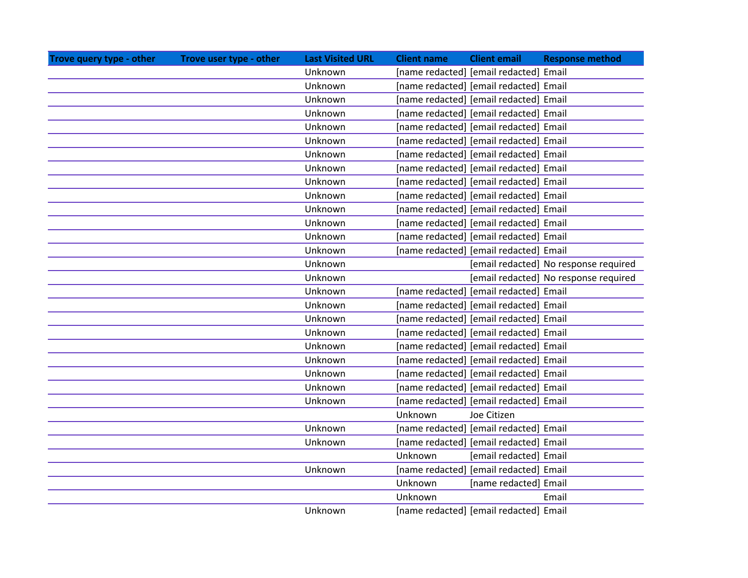| Trove query type - other | Trove user type - other | <b>Last Visited URL</b> | <b>Client name</b><br><b>Client email</b><br><b>Response method</b> |
|--------------------------|-------------------------|-------------------------|---------------------------------------------------------------------|
|                          |                         | Unknown                 | [name redacted] [email redacted] Email                              |
|                          |                         | Unknown                 | [name redacted] [email redacted] Email                              |
|                          |                         | Unknown                 | [name redacted] [email redacted] Email                              |
|                          |                         | Unknown                 | [name redacted] [email redacted] Email                              |
|                          |                         | Unknown                 | [name redacted] [email redacted] Email                              |
|                          |                         | Unknown                 | [name redacted] [email redacted] Email                              |
|                          |                         | Unknown                 | [name redacted] [email redacted] Email                              |
|                          |                         | Unknown                 | [name redacted] [email redacted] Email                              |
|                          |                         | Unknown                 | [name redacted] [email redacted] Email                              |
|                          |                         | Unknown                 | [name redacted] [email redacted] Email                              |
|                          |                         | Unknown                 | [name redacted] [email redacted] Email                              |
|                          |                         | Unknown                 | [name redacted] [email redacted] Email                              |
|                          |                         | Unknown                 | [name redacted] [email redacted] Email                              |
|                          |                         | Unknown                 | [name redacted] [email redacted] Email                              |
|                          |                         | Unknown                 | [email redacted] No response required                               |
|                          |                         | Unknown                 | [email redacted] No response required                               |
|                          |                         | Unknown                 | [name redacted] [email redacted] Email                              |
|                          |                         | Unknown                 | [name redacted] [email redacted] Email                              |
|                          |                         | Unknown                 | [name redacted] [email redacted] Email                              |
|                          |                         | Unknown                 | [name redacted] [email redacted] Email                              |
|                          |                         | Unknown                 | [name redacted] [email redacted] Email                              |
|                          |                         | Unknown                 | [name redacted] [email redacted] Email                              |
|                          |                         | Unknown                 | [name redacted] [email redacted] Email                              |
|                          |                         | Unknown                 | [name redacted] [email redacted] Email                              |
|                          |                         | Unknown                 | [name redacted] [email redacted] Email                              |
|                          |                         |                         | Unknown<br>Joe Citizen                                              |
|                          |                         | Unknown                 | [name redacted] [email redacted] Email                              |
|                          |                         | Unknown                 | [name redacted] [email redacted] Email                              |
|                          |                         |                         | Unknown<br>[email redacted] Email                                   |
|                          |                         | Unknown                 | [name redacted] [email redacted] Email                              |
|                          |                         |                         | Unknown<br>[name redacted] Email                                    |
|                          |                         |                         | Unknown<br>Email                                                    |
|                          |                         | Unknown                 | [name redacted] [email redacted] Email                              |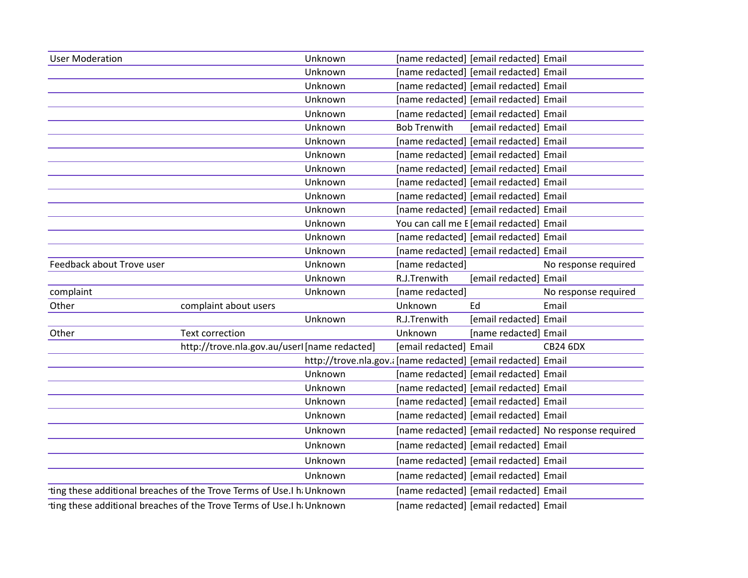| <b>User Moderation</b>    |                                                                        | Unknown                                                       | [name redacted] [email redacted] Email   |    |                                                       |
|---------------------------|------------------------------------------------------------------------|---------------------------------------------------------------|------------------------------------------|----|-------------------------------------------------------|
|                           |                                                                        | Unknown                                                       | [name redacted] [email redacted] Email   |    |                                                       |
|                           |                                                                        | Unknown                                                       | [name redacted] [email redacted] Email   |    |                                                       |
|                           |                                                                        | Unknown                                                       | [name redacted] [email redacted] Email   |    |                                                       |
|                           |                                                                        | Unknown                                                       | [name redacted] [email redacted] Email   |    |                                                       |
|                           |                                                                        | Unknown                                                       | <b>Bob Trenwith</b>                      |    | [email redacted] Email                                |
|                           |                                                                        | Unknown                                                       | [name redacted] [email redacted] Email   |    |                                                       |
|                           |                                                                        | Unknown                                                       | [name redacted] [email redacted] Email   |    |                                                       |
|                           |                                                                        | Unknown                                                       | [name redacted] [email redacted] Email   |    |                                                       |
|                           |                                                                        | Unknown                                                       | [name redacted] [email redacted] Email   |    |                                                       |
|                           |                                                                        | Unknown                                                       | [name redacted] [email redacted] Email   |    |                                                       |
|                           |                                                                        | Unknown                                                       | [name redacted] [email redacted] Email   |    |                                                       |
|                           |                                                                        | Unknown                                                       | You can call me E [email redacted] Email |    |                                                       |
|                           |                                                                        | Unknown                                                       | [name redacted] [email redacted] Email   |    |                                                       |
|                           |                                                                        | Unknown                                                       | [name redacted] [email redacted] Email   |    |                                                       |
| Feedback about Trove user |                                                                        | Unknown                                                       | [name redacted]                          |    | No response required                                  |
|                           |                                                                        | Unknown                                                       | R.J.Trenwith                             |    | [email redacted] Email                                |
| complaint                 |                                                                        | Unknown                                                       | [name redacted]                          |    | No response required                                  |
| Other                     | complaint about users                                                  |                                                               | Unknown                                  | Ed | Email                                                 |
|                           |                                                                        | Unknown                                                       | R.J.Trenwith                             |    | [email redacted] Email                                |
| Other                     | Text correction                                                        |                                                               | Unknown                                  |    | [name redacted] Email                                 |
|                           | http://trove.nla.gov.au/userI [name redacted]                          |                                                               | [email redacted] Email                   |    | <b>CB24 6DX</b>                                       |
|                           |                                                                        | http://trove.nla.gov.a [name redacted] [email redacted] Email |                                          |    |                                                       |
|                           |                                                                        | Unknown                                                       | [name redacted] [email redacted] Email   |    |                                                       |
|                           |                                                                        | Unknown                                                       | [name redacted] [email redacted] Email   |    |                                                       |
|                           |                                                                        | Unknown                                                       | [name redacted] [email redacted] Email   |    |                                                       |
|                           |                                                                        | Unknown                                                       | [name redacted] [email redacted] Email   |    |                                                       |
|                           |                                                                        | Unknown                                                       |                                          |    | [name redacted] [email redacted] No response required |
|                           |                                                                        | Unknown                                                       | [name redacted] [email redacted] Email   |    |                                                       |
|                           |                                                                        | Unknown                                                       | [name redacted] [email redacted] Email   |    |                                                       |
|                           |                                                                        | Unknown                                                       | [name redacted] [email redacted] Email   |    |                                                       |
|                           | rting these additional breaches of the Trove Terms of Use.I h. Unknown |                                                               | [name redacted] [email redacted] Email   |    |                                                       |
|                           | rting these additional breaches of the Trove Terms of Use.I h. Unknown |                                                               | [name redacted] [email redacted] Email   |    |                                                       |
|                           |                                                                        |                                                               |                                          |    |                                                       |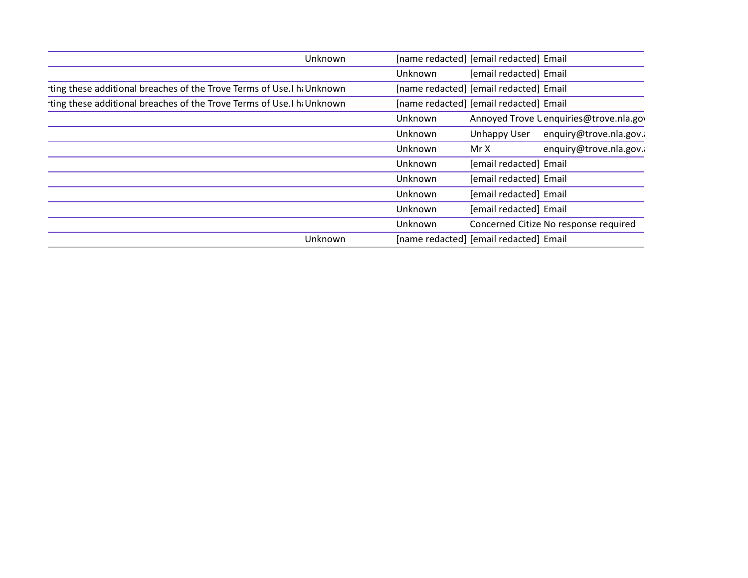| Unknown                                                                | [name redacted] [email redacted] Email             |
|------------------------------------------------------------------------|----------------------------------------------------|
|                                                                        | [email redacted] Email<br>Unknown                  |
| rting these additional breaches of the Trove Terms of Use.I h. Unknown | [name redacted] [email redacted] Email             |
| rting these additional breaches of the Trove Terms of Use.I h Unknown  | [name redacted] [email redacted] Email             |
|                                                                        | Annoyed Trove L enquiries@trove.nla.gov<br>Unknown |
|                                                                        | Unhappy User enquiry@trove.nla.gov.<br>Unknown     |
|                                                                        | enquiry@trove.nla.gov.<br>Mr X<br>Unknown          |
|                                                                        | [email redacted] Email<br>Unknown                  |
|                                                                        | [email redacted] Email<br>Unknown                  |
|                                                                        | [email redacted] Email<br>Unknown                  |
|                                                                        | [email redacted] Email<br>Unknown                  |
|                                                                        | Concerned Citize No response required<br>Unknown   |
| Unknown                                                                | [name redacted] [email redacted] Email             |
|                                                                        |                                                    |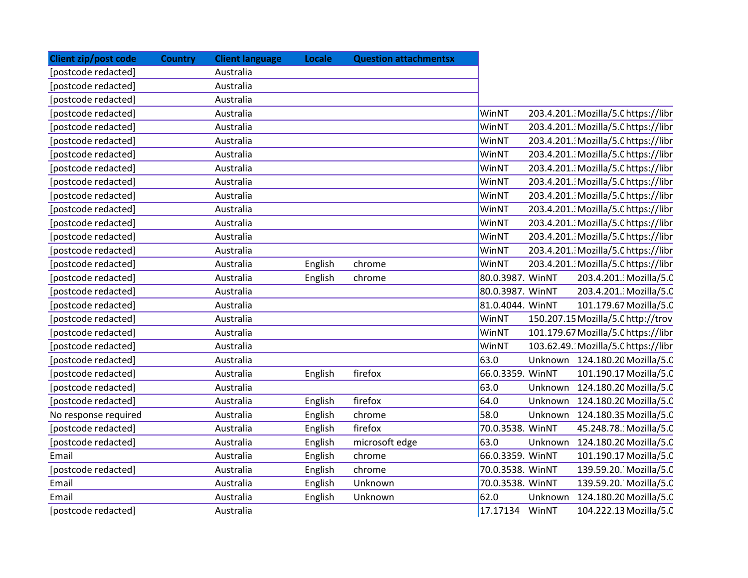| <b>Client zip/post code</b> | <b>Country</b> | <b>Client language</b> | Locale  | <b>Question attachmentsx</b> |                  |         |                                     |
|-----------------------------|----------------|------------------------|---------|------------------------------|------------------|---------|-------------------------------------|
| [postcode redacted]         |                | Australia              |         |                              |                  |         |                                     |
| [postcode redacted]         |                | Australia              |         |                              |                  |         |                                     |
| [postcode redacted]         |                | Australia              |         |                              |                  |         |                                     |
| [postcode redacted]         |                | Australia              |         |                              | WinNT            |         | 203.4.201. Mozilla/5.0 https://libr |
| [postcode redacted]         |                | Australia              |         |                              | WinNT            |         | 203.4.201. Mozilla/5.0 https://libr |
| [postcode redacted]         |                | Australia              |         |                              | WinNT            |         | 203.4.201. Mozilla/5.0 https://libr |
| [postcode redacted]         |                | Australia              |         |                              | WinNT            |         | 203.4.201. Mozilla/5.0 https://libr |
| [postcode redacted]         |                | Australia              |         |                              | WinNT            |         | 203.4.201. Mozilla/5.0 https://libr |
| [postcode redacted]         |                | Australia              |         |                              | WinNT            |         | 203.4.201. Mozilla/5.0 https://libr |
| [postcode redacted]         |                | Australia              |         |                              | WinNT            |         | 203.4.201. Mozilla/5.0 https://libr |
| [postcode redacted]         |                | Australia              |         |                              | WinNT            |         | 203.4.201. Mozilla/5.0 https://libr |
| [postcode redacted]         |                | Australia              |         |                              | WinNT            |         | 203.4.201. Mozilla/5.0 https://libr |
| [postcode redacted]         |                | Australia              |         |                              | WinNT            |         | 203.4.201. Mozilla/5.0 https://libr |
| [postcode redacted]         |                | Australia              |         |                              | WinNT            |         | 203.4.201. Mozilla/5.0 https://libr |
| [postcode redacted]         |                | Australia              | English | chrome                       | WinNT            |         | 203.4.201. Mozilla/5.0 https://libr |
| [postcode redacted]         |                | Australia              | English | chrome                       | 80.0.3987. WinNT |         | 203.4.201. Mozilla/5.0              |
| [postcode redacted]         |                | Australia              |         |                              | 80.0.3987. WinNT |         | 203.4.201. Mozilla/5.0              |
| [postcode redacted]         |                | Australia              |         |                              | 81.0.4044. WinNT |         | 101.179.67 Mozilla/5.0              |
| [postcode redacted]         |                | Australia              |         |                              | WinNT            |         | 150.207.15 Mozilla/5.0 http://trov  |
| [postcode redacted]         |                | Australia              |         |                              | WinNT            |         | 101.179.67 Mozilla/5.0 https://libr |
| [postcode redacted]         |                | Australia              |         |                              | WinNT            |         | 103.62.49. Mozilla/5.0 https://libr |
| [postcode redacted]         |                | Australia              |         |                              | 63.0             |         | Unknown 124.180.20 Mozilla/5.0      |
| [postcode redacted]         |                | Australia              | English | firefox                      | 66.0.3359. WinNT |         | 101.190.17 Mozilla/5.0              |
| [postcode redacted]         |                | Australia              |         |                              | 63.0             | Unknown | 124.180.20 Mozilla/5.0              |
| [postcode redacted]         |                | Australia              | English | firefox                      | 64.0             | Unknown | 124.180.20 Mozilla/5.0              |
| No response required        |                | Australia              | English | chrome                       | 58.0             | Unknown | 124.180.35 Mozilla/5.0              |
| [postcode redacted]         |                | Australia              | English | firefox                      | 70.0.3538. WinNT |         | 45.248.78. Mozilla/5.0              |
| [postcode redacted]         |                | Australia              | English | microsoft edge               | 63.0             | Unknown | 124.180.20 Mozilla/5.0              |
| Email                       |                | Australia              | English | chrome                       | 66.0.3359. WinNT |         | 101.190.17 Mozilla/5.0              |
| [postcode redacted]         |                | Australia              | English | chrome                       | 70.0.3538. WinNT |         | 139.59.20. Mozilla/5.0              |
| Email                       |                | Australia              | English | Unknown                      | 70.0.3538. WinNT |         | 139.59.20. Mozilla/5.0              |
| Email                       |                | Australia              | English | Unknown                      | 62.0             | Unknown | 124.180.20 Mozilla/5.0              |
| [postcode redacted]         |                | Australia              |         |                              | 17.17134         | WinNT   | 104.222.13 Mozilla/5.0              |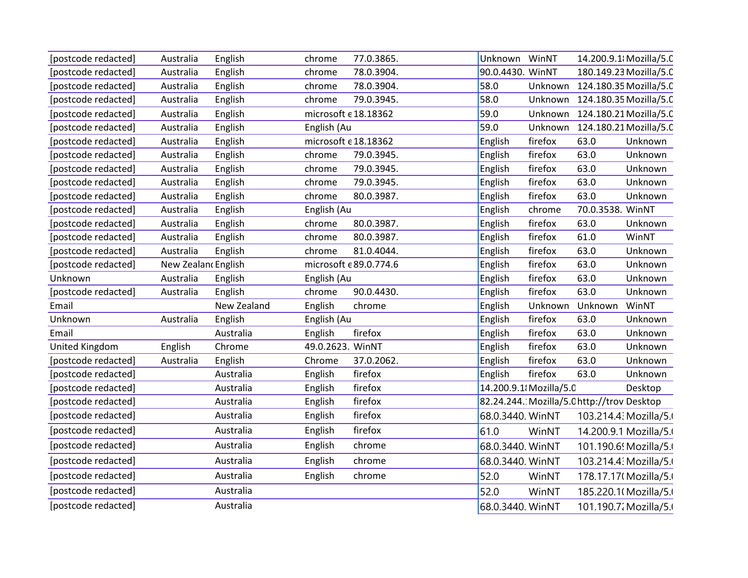| [postcode redacted]   | Australia           | English     | chrome           | 77.0.3865.                      | Unknown WinNT           |         |                                            | 14.200.9.1 Mozilla/5.0         |
|-----------------------|---------------------|-------------|------------------|---------------------------------|-------------------------|---------|--------------------------------------------|--------------------------------|
| [postcode redacted]   | Australia           | English     | chrome           | 78.0.3904.                      | 90.0.4430. WinNT        |         |                                            | 180.149.23 Mozilla/5.0         |
| [postcode redacted]   | Australia           | English     | chrome           | 78.0.3904.                      | 58.0                    |         |                                            | Unknown 124.180.35 Mozilla/5.0 |
| [postcode redacted]   | Australia           | English     | chrome           | 79.0.3945.                      | 58.0                    |         |                                            | Unknown 124.180.35 Mozilla/5.0 |
| [postcode redacted]   | Australia           | English     |                  | microsoft € 18.18362            | 59.0                    |         |                                            | Unknown 124.180.21 Mozilla/5.0 |
| [postcode redacted]   | Australia           | English     | English (Au      |                                 | 59.0                    | Unknown |                                            | 124.180.21 Mozilla/5.0         |
| [postcode redacted]   | Australia           | English     |                  | microsoft $\epsilon$ 18.18362   | English                 | firefox | 63.0                                       | Unknown                        |
| [postcode redacted]   | Australia           | English     | chrome           | 79.0.3945.                      | English                 | firefox | 63.0                                       | Unknown                        |
| [postcode redacted]   | Australia           | English     | chrome           | 79.0.3945.                      | English                 | firefox | 63.0                                       | Unknown                        |
| [postcode redacted]   | Australia           | English     | chrome           | 79.0.3945.                      | English                 | firefox | 63.0                                       | Unknown                        |
| [postcode redacted]   | Australia           | English     | chrome           | 80.0.3987.                      | English                 | firefox | 63.0                                       | Unknown                        |
| [postcode redacted]   | Australia           | English     | English (Au      |                                 | English                 | chrome  | 70.0.3538. WinNT                           |                                |
| [postcode redacted]   | Australia           | English     | chrome           | 80.0.3987.                      | English                 | firefox | 63.0                                       | Unknown                        |
| [postcode redacted]   | Australia           | English     | chrome           | 80.0.3987.                      | English                 | firefox | 61.0                                       | WinNT                          |
| [postcode redacted]   | Australia           | English     | chrome           | 81.0.4044.                      | English                 | firefox | 63.0                                       | Unknown                        |
| [postcode redacted]   | New Zealan cEnglish |             |                  | microsoft $\epsilon$ 89.0.774.6 | English                 | firefox | 63.0                                       | Unknown                        |
| Unknown               | Australia           | English     | English (Au      |                                 | English                 | firefox | 63.0                                       | Unknown                        |
| [postcode redacted]   | Australia           | English     | chrome           | 90.0.4430.                      | English                 | firefox | 63.0                                       | Unknown                        |
| Email                 |                     | New Zealand | English          | chrome                          | English                 | Unknown | Unknown                                    | WinNT                          |
| Unknown               | Australia           | English     | English (Au      |                                 | English                 | firefox | 63.0                                       | Unknown                        |
| Email                 |                     | Australia   | English          | firefox                         | English                 | firefox | 63.0                                       | Unknown                        |
| <b>United Kingdom</b> | English             | Chrome      | 49.0.2623. WinNT |                                 | English                 | firefox | 63.0                                       | Unknown                        |
| [postcode redacted]   | Australia           | English     | Chrome           | 37.0.2062.                      | English                 | firefox | 63.0                                       | Unknown                        |
| [postcode redacted]   |                     | Australia   | English          | firefox                         | English                 | firefox | 63.0                                       | Unknown                        |
| [postcode redacted]   |                     | Australia   | English          | firefox                         | 14.200.9.1 {Mozilla/5.0 |         |                                            | Desktop                        |
| [postcode redacted]   |                     | Australia   | English          | firefox                         |                         |         | 82.24.244. Mozilla/5.C http://trov Desktop |                                |
| [postcode redacted]   |                     | Australia   | English          | firefox                         | 68.0.3440. WinNT        |         |                                            | 103.214.4: Mozilla/5.          |
| [postcode redacted]   |                     | Australia   | English          | firefox                         | 61.0                    | WinNT   |                                            | 14.200.9.1 Mozilla/5.          |
| [postcode redacted]   |                     | Australia   | English          | chrome                          | 68.0.3440. WinNT        |         |                                            | 101.190.6 Mozilla/5.           |
| [postcode redacted]   |                     | Australia   | English          | chrome                          | 68.0.3440. WinNT        |         |                                            | 103.214.4: Mozilla/5.          |
| [postcode redacted]   |                     | Australia   | English          | chrome                          | 52.0                    | WinNT   |                                            | 178.17.17 (Mozilla/5.          |
| [postcode redacted]   |                     | Australia   |                  |                                 | 52.0                    | WinNT   |                                            | 185.220.1(Mozilla/5.           |
| [postcode redacted]   |                     | Australia   |                  |                                 | 68.0.3440. WinNT        |         |                                            | 101.190.7. Mozilla/5.          |
|                       |                     |             |                  |                                 |                         |         |                                            |                                |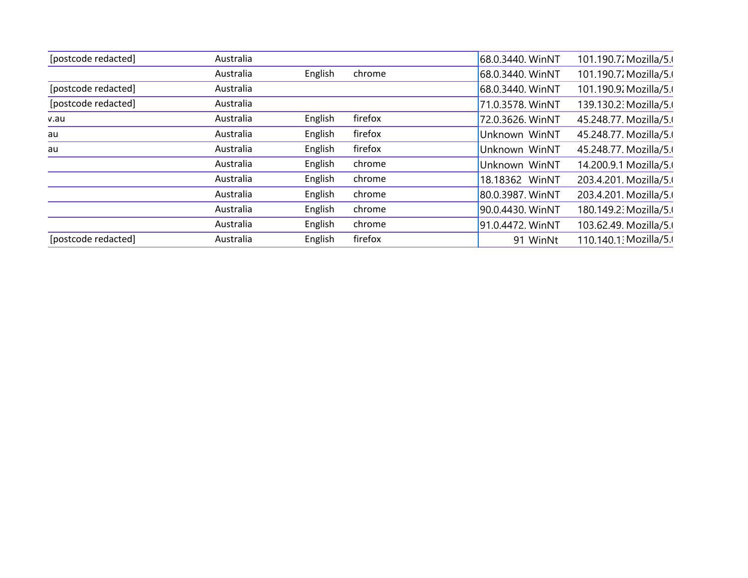| [postcode redacted] | Australia |         |         | 68.0.3440. WinNT | 101.190.7. Mozilla/5. |
|---------------------|-----------|---------|---------|------------------|-----------------------|
|                     | Australia | English | chrome  | 68.0.3440. WinNT | 101.190.7. Mozilla/5. |
| [postcode redacted] | Australia |         |         | 68.0.3440. WinNT | 101.190.9; Mozilla/5. |
| [postcode redacted] | Australia |         |         | 71.0.3578. WinNT | 139.130.2: Mozilla/5. |
| v.au                | Australia | English | firefox | 72.0.3626. WinNT | 45.248.77. Mozilla/5. |
| au                  | Australia | English | firefox | Unknown WinNT    | 45.248.77. Mozilla/5. |
| au                  | Australia | English | firefox | Unknown WinNT    | 45.248.77. Mozilla/5. |
|                     | Australia | English | chrome  | Unknown WinNT    | 14.200.9.1 Mozilla/5. |
|                     | Australia | English | chrome  | 18.18362 WinNT   | 203.4.201. Mozilla/5. |
|                     | Australia | English | chrome  | 80.0.3987. WinNT | 203.4.201. Mozilla/5. |
|                     | Australia | English | chrome  | 90.0.4430. WinNT | 180.149.2: Mozilla/5. |
|                     | Australia | English | chrome  | 91.0.4472. WinNT | 103.62.49. Mozilla/5. |
| [postcode redacted] | Australia | English | firefox | 91 WinNt         | 110.140.1: Mozilla/5. |
|                     |           |         |         |                  |                       |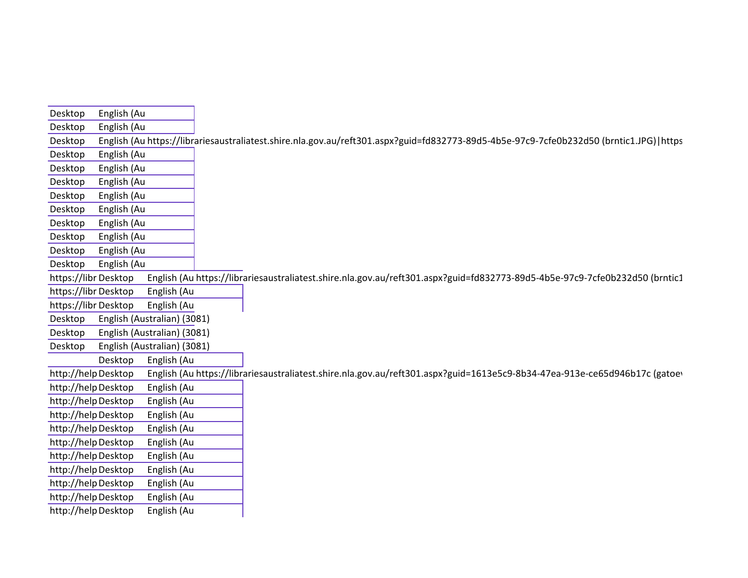| and the control of the control of the control of<br>Desktop English (Au |                                                                                                                                                 |
|-------------------------------------------------------------------------|-------------------------------------------------------------------------------------------------------------------------------------------------|
| Desktop English (Au                                                     |                                                                                                                                                 |
|                                                                         | Desktop English (Au https://librariesaustraliatest.shire.nla.gov.au/reft301.aspx?guid=fd832773-89d5-4b5e-97c9-7cfe0b232d50 (brntic1.JPG) https  |
|                                                                         |                                                                                                                                                 |
| Desktop English (Au<br>Desktop English (Au                              |                                                                                                                                                 |
| Desktop English (Au                                                     |                                                                                                                                                 |
| Desktop English (Au                                                     |                                                                                                                                                 |
|                                                                         |                                                                                                                                                 |
| Desktop English (Au                                                     |                                                                                                                                                 |
| Desktop English (Au                                                     |                                                                                                                                                 |
| Desktop English (Au                                                     |                                                                                                                                                 |
| Desktop English (Au                                                     |                                                                                                                                                 |
| Desktop English (Au                                                     |                                                                                                                                                 |
|                                                                         | https://librDesktop English (Au https://librariesaustraliatest.shire.nla.gov.au/reft301.aspx?guid=fd832773-89d5-4b5e-97c9-7cfe0b232d50 (brntic1 |
| https://libr Desktop English (Au                                        |                                                                                                                                                 |
| https://libr Desktop English (Au                                        |                                                                                                                                                 |
| Desktop English (Australian) (3081)                                     |                                                                                                                                                 |
| Desktop English (Australian) (3081)                                     |                                                                                                                                                 |
| Desktop English (Australian) (3081)                                     |                                                                                                                                                 |
| Desktop English (Au                                                     |                                                                                                                                                 |
|                                                                         | http://helpDesktop English (Au https://librariesaustraliatest.shire.nla.gov.au/reft301.aspx?guid=1613e5c9-8b34-47ea-913e-ce65d946b17c (gatoev   |
| http://help Desktop English (Au                                         |                                                                                                                                                 |
| http://help Desktop English (Au                                         |                                                                                                                                                 |
| http://help Desktop English (Au                                         |                                                                                                                                                 |
| http://help Desktop English (Au                                         |                                                                                                                                                 |
| http://help Desktop English (Au                                         |                                                                                                                                                 |
| http://help Desktop English (Au                                         |                                                                                                                                                 |
| http://help Desktop English (Au                                         |                                                                                                                                                 |
| http://help Desktop English (Au                                         |                                                                                                                                                 |
| http://help Desktop English (Au                                         |                                                                                                                                                 |
| http://help Desktop English (Au                                         |                                                                                                                                                 |
|                                                                         |                                                                                                                                                 |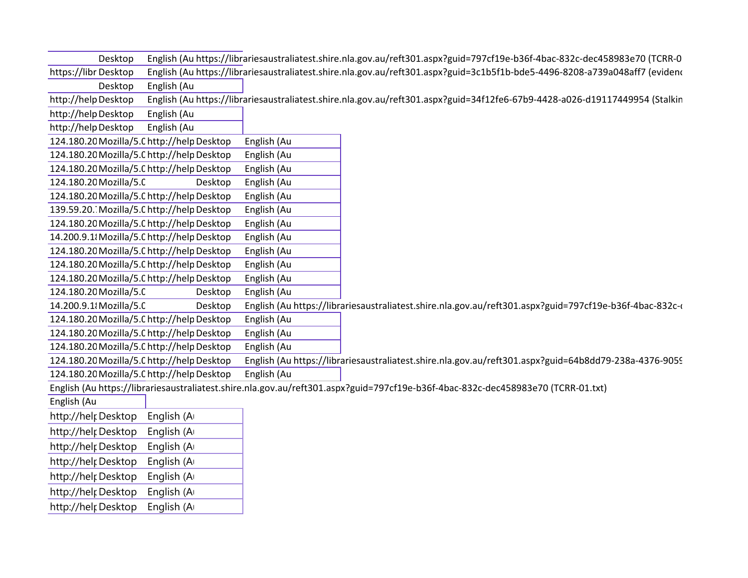| Desktop                                    | English (Au https://librariesaustraliatest.shire.nla.gov.au/reft301.aspx?guid=797cf19e-b36f-4bac-832c-dec458983e70 (TCRR-0       |
|--------------------------------------------|----------------------------------------------------------------------------------------------------------------------------------|
| https://libr Desktop                       | English (Au https://librariesaustraliatest.shire.nla.gov.au/reft301.aspx?guid=3c1b5f1b-bde5-4496-8208-a739a048aff7 (evideno      |
| Desktop<br>English (Au                     |                                                                                                                                  |
| http://help Desktop                        | English (Au https://librariesaustraliatest.shire.nla.gov.au/reft301.aspx?guid=34f12fe6-67b9-4428-a026-d19117449954 (Stalkin      |
| http://helpDesktop<br>English (Au          |                                                                                                                                  |
| http://helpDesktop<br>English (Au          |                                                                                                                                  |
| 124.180.20 Mozilla/5.0 http://help Desktop | English (Au                                                                                                                      |
| 124.180.20 Mozilla/5.0 http://help Desktop | English (Au                                                                                                                      |
| 124.180.20 Mozilla/5.0 http://help Desktop | English (Au                                                                                                                      |
| 124.180.20 Mozilla/5.0<br>Desktop          | English (Au                                                                                                                      |
| 124.180.20 Mozilla/5.0 http://help Desktop | English (Au                                                                                                                      |
| 139.59.20. Mozilla/5.0 http://help Desktop | English (Au                                                                                                                      |
| 124.180.20 Mozilla/5.0 http://help Desktop | English (Au                                                                                                                      |
| 14.200.9.1 Mozilla/5.0 http://help Desktop | English (Au                                                                                                                      |
| 124.180.20 Mozilla/5.0 http://help Desktop | English (Au                                                                                                                      |
| 124.180.20 Mozilla/5.0 http://help Desktop | English (Au                                                                                                                      |
| 124.180.20 Mozilla/5.0 http://help Desktop | English (Au                                                                                                                      |
| 124.180.20 Mozilla/5.0<br>Desktop          | English (Au                                                                                                                      |
| 14.200.9.1 Mozilla/5.0<br>Desktop          | English (Au https://librariesaustraliatest.shire.nla.gov.au/reft301.aspx?guid=797cf19e-b36f-4bac-832c-                           |
| 124.180.20 Mozilla/5.0 http://help Desktop | English (Au                                                                                                                      |
| 124.180.20 Mozilla/5.0 http://help Desktop | English (Au                                                                                                                      |
| 124.180.20 Mozilla/5.0 http://help Desktop | English (Au                                                                                                                      |
| 124.180.20 Mozilla/5.0 http://help Desktop | English (Au https://librariesaustraliatest.shire.nla.gov.au/reft301.aspx?guid=64b8dd79-238a-4376-9059                            |
| 124.180.20 Mozilla/5.0 http://help Desktop | English (Au                                                                                                                      |
|                                            | English (Au https://librariesaustraliatest.shire.nla.gov.au/reft301.aspx?guid=797cf19e-b36f-4bac-832c-dec458983e70 (TCRR-01.txt) |
| English (Au                                |                                                                                                                                  |
| English (A<br>http://helr Desktop          |                                                                                                                                  |
| English (Ar<br>http://helr Desktop         |                                                                                                                                  |
| English (A<br>http://helr Desktop          |                                                                                                                                  |
| English (A<br>http://helr Desktop          |                                                                                                                                  |
| English (A<br>http://helr Desktop          |                                                                                                                                  |
| English (A<br>http://helr Desktop          |                                                                                                                                  |
| http://help Desktop<br>English (A          |                                                                                                                                  |
|                                            |                                                                                                                                  |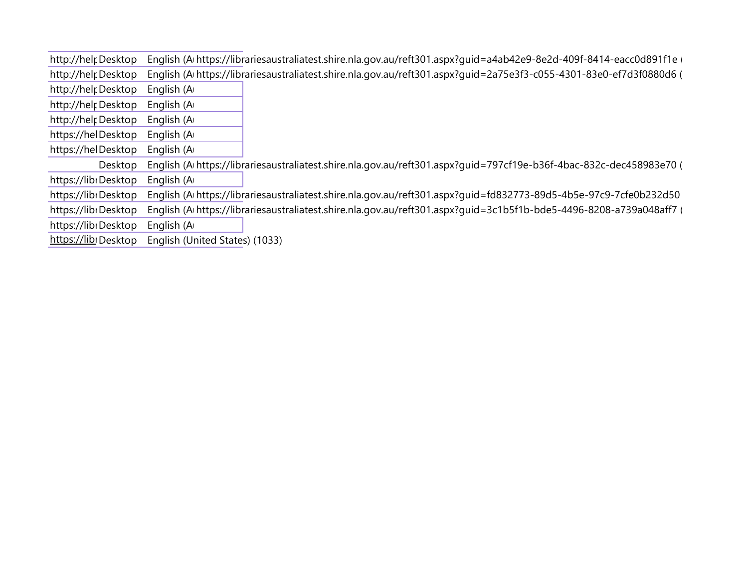| http://helr Desktop  | English (Arhttps://librariesaustraliatest.shire.nla.gov.au/reft301.aspx?guid=a4ab42e9-8e2d-409f-8414-eacc0d891f1e   |
|----------------------|---------------------------------------------------------------------------------------------------------------------|
| http://helr Desktop  | English (Arhttps://librariesaustraliatest.shire.nla.gov.au/reft301.aspx?guid=2a75e3f3-c055-4301-83e0-ef7d3f0880d6 ( |
| http://helr Desktop  | English (A                                                                                                          |
| http://helr Desktop  | English (A                                                                                                          |
| http://helr Desktop  | English (A                                                                                                          |
| https://helDesktop   | English (A                                                                                                          |
| https://helDesktop   | English (A                                                                                                          |
| Desktop              | English (Arhttps://librariesaustraliatest.shire.nla.gov.au/reft301.aspx?guid=797cf19e-b36f-4bac-832c-dec458983e70 ( |
| https://libiDesktop  | English (A                                                                                                          |
| https://libiDesktop  | English (Arhttps://librariesaustraliatest.shire.nla.gov.au/reft301.aspx?guid=fd832773-89d5-4b5e-97c9-7cfe0b232d50   |
| https://libiDesktop  | English (Arhttps://librariesaustraliatest.shire.nla.gov.au/reft301.aspx?guid=3c1b5f1b-bde5-4496-8208-a739a048aff7 ( |
| https://libiDesktop  | English (A                                                                                                          |
| https://libi Desktop | English (United States) (1033)                                                                                      |
|                      |                                                                                                                     |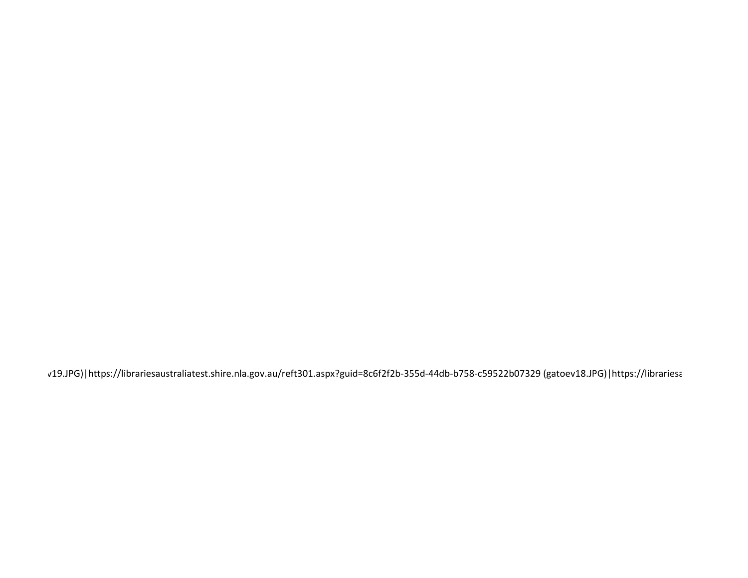v19.JPG)|https://librariesaustraliatest.shire.nla.gov.au/reft301.aspx?guid=8c6f2f2b-355d-44db-b758-c59522b07329 (gatoev18.JPG)|https://librariesa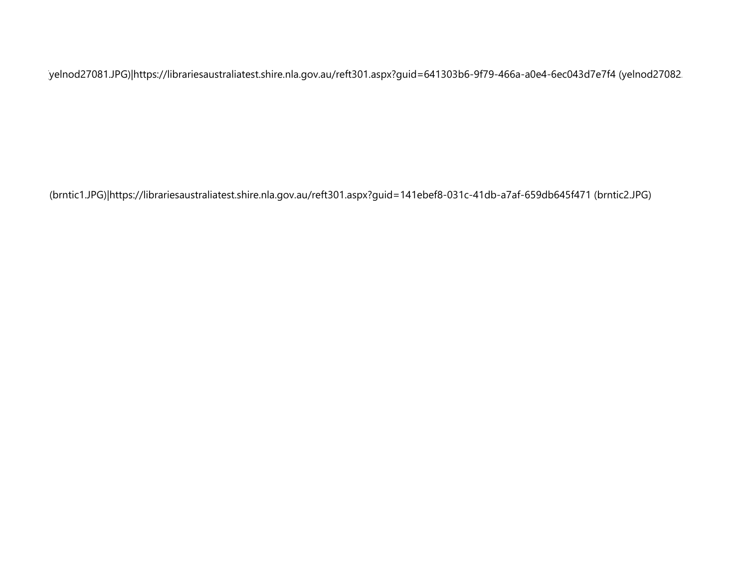(yelnod27081.JPG)|https://librariesaustraliatest.shire.nla.gov.au/reft301.aspx?guid=641303b6-9f79-466a-a0e4-6ec043d7e7f4 (yelnod27082.

(brntic1.JPG)|https://librariesaustraliatest.shire.nla.gov.au/reft301.aspx?guid=141ebef8-031c-41db-a7af-659db645f471 (brntic2.JPG)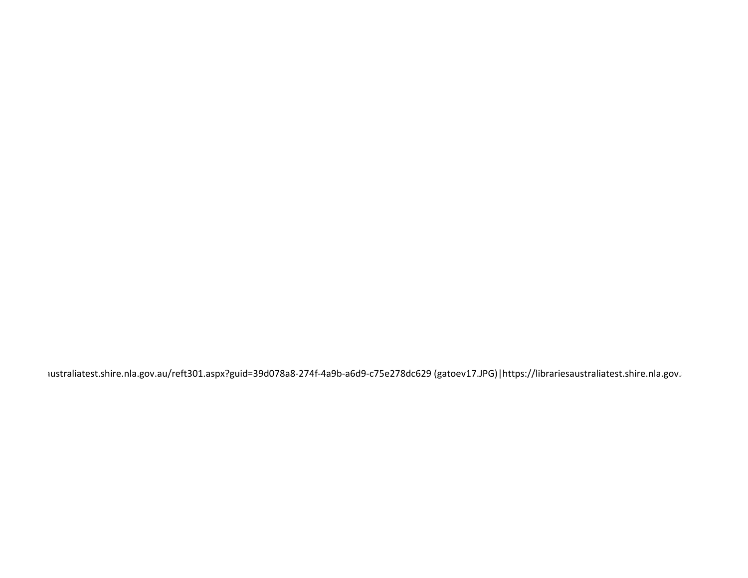australiatest.shire.nla.gov.au/reft301.aspx?guid=39d078a8-274f-4a9b-a6d9-c75e278dc629 (gatoev17.JPG)|https://librariesaustraliatest.shire.nla.gov.a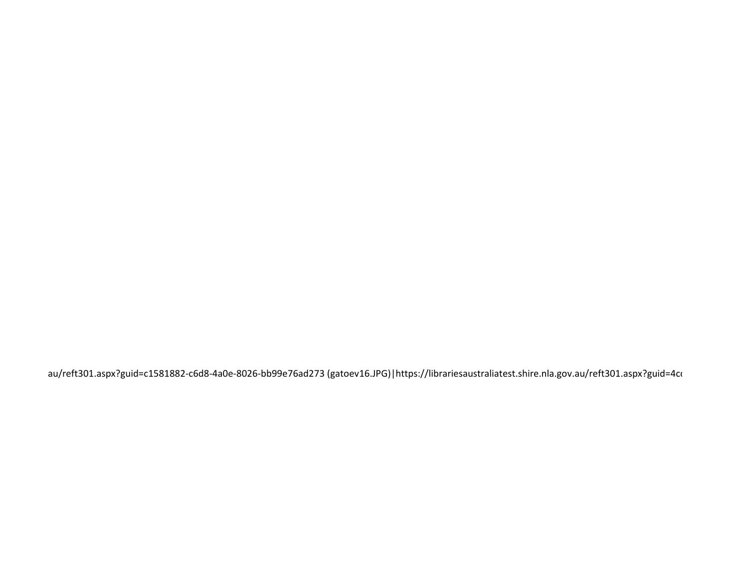au/reft301.aspx?guid=c1581882-c6d8-4a0e-8026-bb99e76ad273 (gatoev16.JPG)|https://librariesaustraliatest.shire.nla.gov.au/reft301.aspx?guid=4co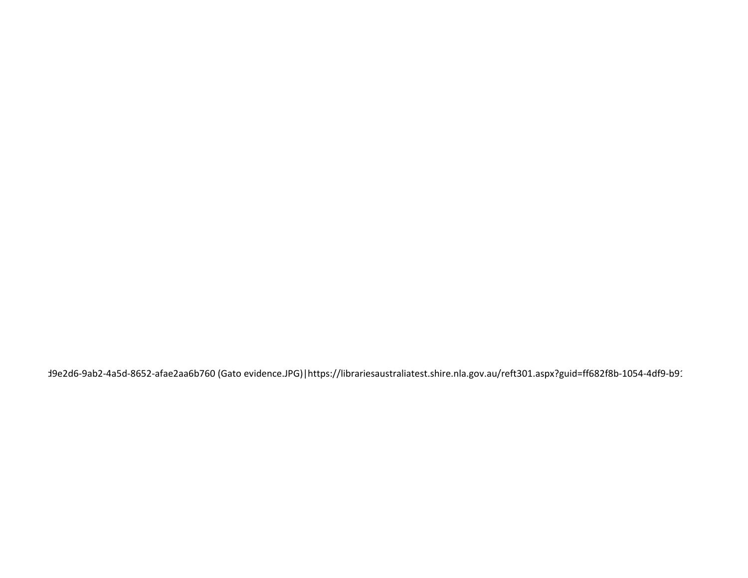d9e2d6-9ab2-4a5d-8652-afae2aa6b760 (Gato evidence.JPG) | https://librariesaustraliatest.shire.nla.gov.au/reft301.aspx?guid=ff682f8b-1054-4df9-b91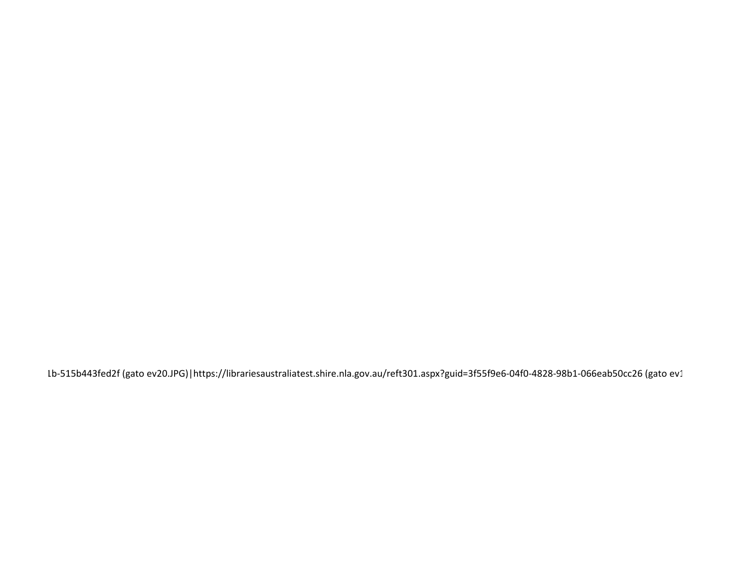1b-515b443fed2f (gato ev20.JPG)|https://librariesaustraliatest.shire.nla.gov.au/reft301.aspx?guid=3f55f9e6-04f0-4828-98b1-066eab50cc26 (gato ev1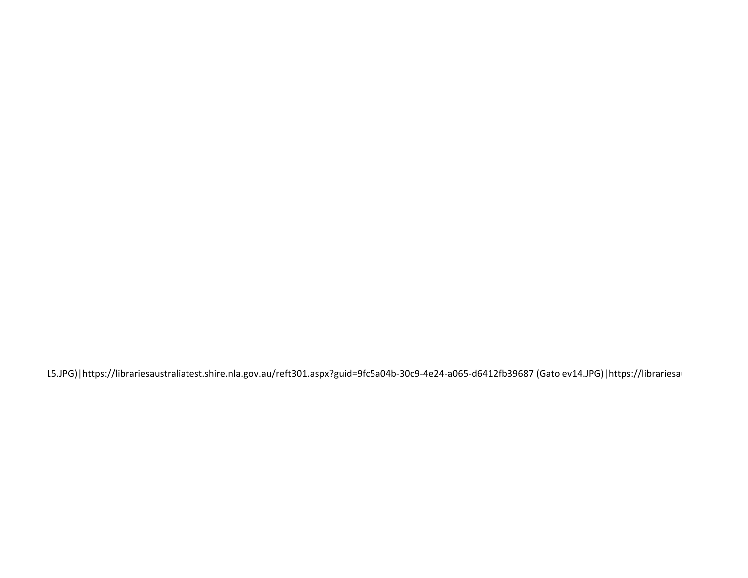15.JPG)|https://librariesaustraliatest.shire.nla.gov.au/reft301.aspx?guid=9fc5a04b-30c9-4e24-a065-d6412fb39687 (Gato ev14.JPG)|https://librariesau